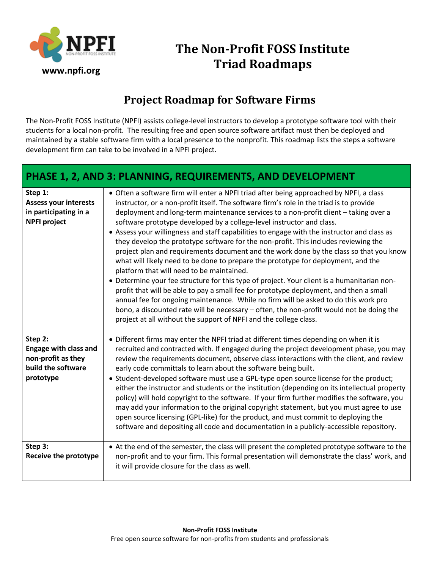

## **The Non-Profit FOSS Institute Triad Roadmaps**

## **Project Roadmap for Software Firms**

The Non-Profit FOSS Institute (NPFI) assists college-level instructors to develop a prototype software tool with their students for a local non-profit. The resulting free and open source software artifact must then be deployed and maintained by a stable software firm with a local presence to the nonprofit. This roadmap lists the steps a software development firm can take to be involved in a NPFI project.

## **PHASE 1, 2, AND 3: PLANNING, REQUIREMENTS, AND DEVELOPMENT**

| Step 1:<br><b>Assess your interests</b><br>in participating in a<br><b>NPFI project</b>          | • Often a software firm will enter a NPFI triad after being approached by NPFI, a class<br>instructor, or a non-profit itself. The software firm's role in the triad is to provide<br>deployment and long-term maintenance services to a non-profit client - taking over a<br>software prototype developed by a college-level instructor and class.<br>• Assess your willingness and staff capabilities to engage with the instructor and class as<br>they develop the prototype software for the non-profit. This includes reviewing the<br>project plan and requirements document and the work done by the class so that you know<br>what will likely need to be done to prepare the prototype for deployment, and the<br>platform that will need to be maintained.<br>• Determine your fee structure for this type of project. Your client is a humanitarian non-<br>profit that will be able to pay a small fee for prototype deployment, and then a small<br>annual fee for ongoing maintenance. While no firm will be asked to do this work pro<br>bono, a discounted rate will be necessary - often, the non-profit would not be doing the<br>project at all without the support of NPFI and the college class. |
|--------------------------------------------------------------------------------------------------|------------------------------------------------------------------------------------------------------------------------------------------------------------------------------------------------------------------------------------------------------------------------------------------------------------------------------------------------------------------------------------------------------------------------------------------------------------------------------------------------------------------------------------------------------------------------------------------------------------------------------------------------------------------------------------------------------------------------------------------------------------------------------------------------------------------------------------------------------------------------------------------------------------------------------------------------------------------------------------------------------------------------------------------------------------------------------------------------------------------------------------------------------------------------------------------------------------------------|
| Step 2:<br><b>Engage with class and</b><br>non-profit as they<br>build the software<br>prototype | • Different firms may enter the NPFI triad at different times depending on when it is<br>recruited and contracted with. If engaged during the project development phase, you may<br>review the requirements document, observe class interactions with the client, and review<br>early code committals to learn about the software being built.<br>• Student-developed software must use a GPL-type open source license for the product;<br>either the instructor and students or the institution (depending on its intellectual property<br>policy) will hold copyright to the software. If your firm further modifies the software, you<br>may add your information to the original copyright statement, but you must agree to use<br>open source licensing (GPL-like) for the product, and must commit to deploying the<br>software and depositing all code and documentation in a publicly-accessible repository.                                                                                                                                                                                                                                                                                                   |
| Step 3:<br><b>Receive the prototype</b>                                                          | • At the end of the semester, the class will present the completed prototype software to the<br>non-profit and to your firm. This formal presentation will demonstrate the class' work, and<br>it will provide closure for the class as well.                                                                                                                                                                                                                                                                                                                                                                                                                                                                                                                                                                                                                                                                                                                                                                                                                                                                                                                                                                          |